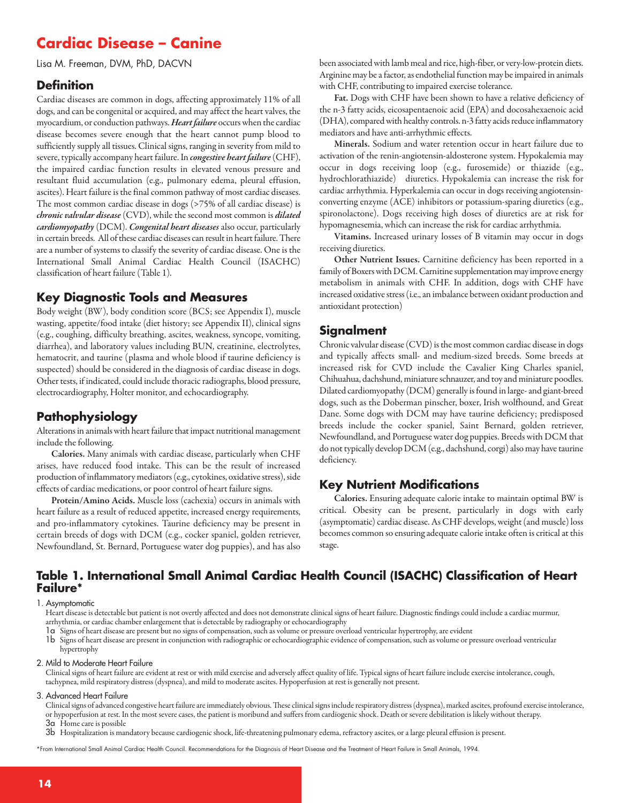# **Cardiac Disease – Canine**

Lisa M. Freeman, DVM, PhD, DACVN

### **Definition**

Cardiac diseases are common in dogs, affecting approximately 11% of all dogs, and can be congenital or acquired, and may affect the heart valves, the myocardium, or conduction pathways. Heart failure occurs when the cardiac disease becomes severe enough that the heart cannot pump blood to sufficiently supply all tissues. Clinical signs, ranging in severity from mild to severe, typically accompany heart failure. In *congestive heart failure* (CHF), the impaired cardiac function results in elevated venous pressure and resultant fluid accumulation (e.g., pulmonary edema, pleural effusion, ascites). Heart failure is the final common pathway of most cardiac diseases. The most common cardiac disease in dogs (>75% of all cardiac disease) is *chronic valvular disease* (CVD), while the second most common is *dilated cardiomyopathy*(DCM). *Congenital heart diseases* also occur, particularly in certain breeds. All of these cardiac diseases can result in heart failure. There are a number of systems to classify the severity of cardiac disease. One is the International Small Animal Cardiac Health Council (ISACHC) classification of heart failure(Table 1).

### **Key Diagnostic Tools and Measures**

Body weight (BW), body condition score (BCS; see Appendix I), muscle wasting, appetite/food intake (diet history; see Appendix II), clinical signs (e.g., coughing, difficulty breathing, ascites, weakness, syncope, vomiting, diarrhea), and laboratory values including BUN, creatinine, electrolytes, hematocrit, and taurine (plasma and whole blood if taurine deficiency is suspected) should be considered in the diagnosis of cardiac disease in dogs. Other tests, if indicated, could include thoracic radiographs, blood pressure, electrocardiography, Holter monitor, and echocardiography.

### **Pathophysiology**

Alterations in animals with heart failure that impact nutritional management include the following.

**Calories.** Many animals with cardiac disease, particularly when CHF arises, have reduced food intake. This can be the result of increased production of inflammatory mediators (e.g., cytokines, oxidative stress), side effects of cardiac medications, or poor control of heart failure signs.

**Protein/Amino Acids.** Muscle loss (cachexia) occurs in animals with heart failure as a result of reduced appetite, increased energy requirements, and pro-inflammatory cytokines. Taurine deficiency may be present in certain breeds of dogs with DCM (e.g., cocker spaniel, golden retriever, Newfoundland, St. Bernard, Portuguese water dog puppies), and has also been associated with lamb meal and rice, high-fiber, or very-low-protein diets. Arginine may be a factor, as endothelial function may be impaired in animals with CHF, contributing to impaired exercise tolerance.

**Fat.** Dogs with CHF have been shown to have a relative deficiency of the n-3 fatty acids, eicosapentaenoic acid (EPA) and docosahexaenoic acid (DHA), compared with healthy controls. n-3 fatty acids reduce inflammatory mediators and have anti-arrhythmic effects.

**Minerals.** Sodium and water retention occur in heart failure due to activation of the renin-angiotensin-aldosterone system. Hypokalemia may occur in dogs receiving loop (e.g., furosemide) or thiazide (e.g., hydrochlorathiazide) diuretics. Hypokalemia can increase the risk for cardiac arrhythmia. Hyperkalemia can occur in dogs receiving angiotensinconverting enzyme (ACE) inhibitors or potassium-sparing diuretics (e.g., spironolactone). Dogs receiving high doses of diuretics are at risk for hypomagnesemia, which can increase the risk for cardiac arrhythmia.

**Vitamins.** Increased urinary losses of B vitamin may occur in dogs receiving diuretics.

**Other Nutrient Issues.** Carnitine deficiency has been reported in a family of Boxers with DCM. Carnitine supplementation may improve energy metabolism in animals with CHF. In addition, dogs with CHF have increased oxidative stress (i.e., an imbalance between oxidant production and antioxidant protection)

### **Signalment**

Chronic valvular disease (CVD) is the most common cardiac disease in dogs and typically affects small- and medium-sized breeds. Some breeds at increased risk for CVD include the Cavalier King Charles spaniel, Chihuahua, dachshund, miniature schnauzer, and toy and miniature poodles. Dilated cardiomyopathy (DCM) generally isfound in large-and giant-breed dogs, such as the Doberman pinscher, boxer, Irish wolfhound, and Great Dane. Some dogs with DCM may have taurine deficiency; predisposed breeds include the cocker spaniel, Saint Bernard, golden retriever, Newfoundland, and Portuguese water dog puppies. Breeds with DCM that do not typically develop DCM (e.g., dachshund, corgi) also may have taurine deficiency.

### **Key Nutrient Modifications**

**Calories.** Ensuring adequate calorie intake to maintain optimal BW is critical. Obesity can be present, particularly in dogs with early (asymptomatic) cardiac disease. As CHF develops, weight (and muscle) loss becomes common so ensuring adequate calorie intake often is critical at this stage.

### **Table 1. International Small Animal Cardiac Health Council (ISACHC) Classification of Heart Failure\***

#### 1. Asymptomatic

Heart disease is detectable but patient is not overtly affected and does not demonstrate clinical signs of heart failure. Diagnostic findings could include a cardiac murmur, arrhythmia, or cardiac chamber enlargement that is detectable by radiography or echocardiography

1a Signs of heart diseaseare present but no signs ofcompensation, such as volume or pressure overload ventricular hypertrophy,areevident

1b Signs of heart diseaseare present in conjunction with radiographic orechocardiographicevidence ofcompensation, such as volume or pressure overload ventricular hypertrophy

#### 2. Mild to Moderate Heart Failure

Clinical signs of heart failure are evident at rest or with mild exercise and adversely affect quality of life. Typical signs of heart failure include exercise intolerance, cough, tachypnea, mild respiratory distress (dyspnea), and mild to moderate ascites. Hypoperfusion at rest is generally not present.

#### 3. Advanced Heart Failure

Clinical signs of advanced congestive heart failure are immediately obvious. These clinical signs include respiratory distress (dyspnea), marked ascites, profound exercise intolerance, or hypoperfusion at rest. In the most severecases, the patient is moribund and suffers from cardiogenicshock. Death or severe debilitation is likely without therapy. 3a Home care is possible

 $3{\sf b}\;$  Hospitalization is mandatory because cardiogenic shock, life-threatening pulmonary edema, refractory ascites, or a large pleural effusion is present.

\*From International Small Animal Cardiac Health Council. Recommendations for the Diagnosis of Heart Disease and the Treatment of Heart Failure in Small Animals, 1994.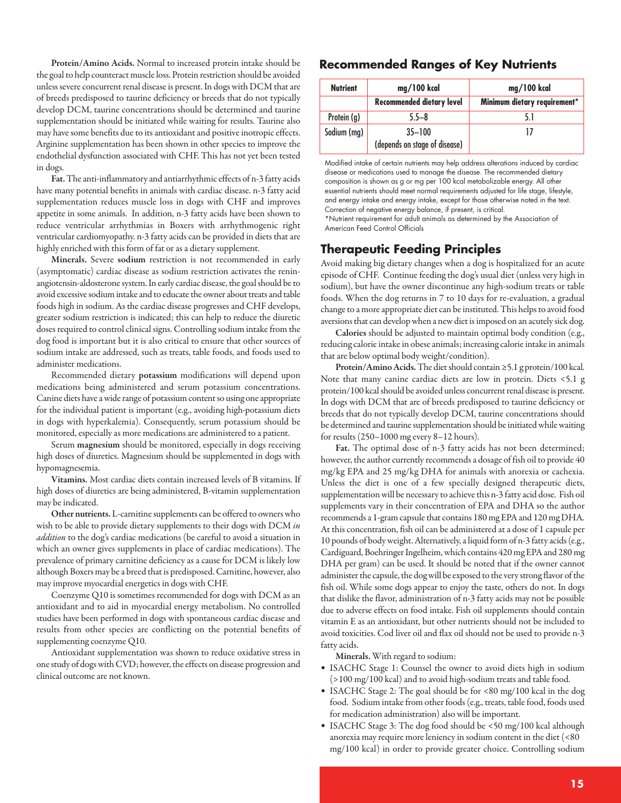**Protein/Amino Acids.** Normal to increased protein intake should be the goal to help counteract muscle loss. Protein restriction should be avoided unless severe concurrent renal disease is present. In dogs with DCM that are of breeds predisposed to taurine deficiency or breeds that do not typically develop DCM, taurine concentrations should be determined and taurine supplementation should be initiated while waiting for results. Taurine also may have some benefits due to its antioxidant and positive inotropic effects. Arginine supplementation has been shown in other species to improve the endothelial dysfunction associated with CHF. This has not yet been tested in dogs.

Fat. The anti-inflammatory and antiarrhythmic effects of n-3 fatty acids have many potential benefits in animals with cardiac disease. n-3 fatty acid supplementation reduces muscle loss in dogs with CHF and improves appetite in some animals. In addition, n-3 fatty acids have been shown to reduce ventricular arrhythmias in Boxers with arrhythmogenic right ventricular cardiomyopathy. n-3 fatty acids can be provided in diets that are highly enriched with this form of fat or as a dietary supplement.

**Minerals.** Severe **sodium** restriction is not recommended in early (asymptomatic) cardiac disease as sodium restriction activates the reninangiotensin-aldosterone system. In early cardiac disease, the goal should be to avoid excessive sodium intake and to educate the owner about treats and table foods high in sodium. As the cardiac disease progresses and CHF develops, greater sodium restriction is indicated; this can help to reduce the diuretic doses required to control clinical signs. Controlling sodium intake from the dog food is important but it is also critical to ensure that other sources of sodium intake are addressed, such as treats, table foods, and foods used to administer medications.

Recommended dietary **potassium** modifications will depend upon medications being administered and serum potassium concentrations. Canine diets have a wide range of potassium content so using one appropriate for the individual patient is important (e.g., avoiding high-potassium diets in dogs with hyperkalemia). Consequently, serum potassium should be monitored, especially as more medications are administered to a patient.

Serum **magnesium** should be monitored, especially in dogs receiving high doses of diuretics. Magnesium should be supplemented in dogs with hypomagnesemia.

**Vitamins.** Most cardiac diets contain increased levels of B vitamins. If high doses of diuretics are being administered, B-vitamin supplementation may be indicated.

Other nutrients. L-carnitine supplements can be offered to owners who wish to be able to provide dietary supplements to their dogs with DCM *in addition* to the dog's cardiac medications (be careful to avoid a situation in which an owner gives supplements in place of cardiac medications). The prevalence of primary carnitine deficiency as a cause for DCM is likely low although Boxers may be a breed that is predisposed. Carnitine, however, also may improve myocardial energetics in dogs with CHF.

Coenzyme Q10 is sometimes recommended for dogs with DCM asan antioxidant and to aid in myocardial energy metabolism. No controlled studies have been performed in dogs with spontaneous cardiac disease and results from other species are conflicting on the potential benefits of supplementing coenzyme Q10.

Antioxidant supplementation was shown to reduce oxidative stress in one study of dogs with CVD; however, the effects on disease progression and clinical outcomeare not known.

### **Recommended Ranges of Key Nutrients**

| <b>Nutrient</b> | mg/100 kcal                                 | mg/100 kcal                  |
|-----------------|---------------------------------------------|------------------------------|
|                 | <b>Recommended dietary level</b>            | Minimum dietary requirement* |
| Protein (g)     | $5.5 - 8$                                   |                              |
| Sodium (mg)     | $35 - 100$<br>(depends on stage of disease) |                              |

Modified intake of certain nutrients may help address alterations induced by cardiac disease or medications used to manage the disease. The recommended dietary composition is shown as g or mg per 100 kcal metabolizable energy. All other essential nutrients should meet normal requirements adjusted for life stage, lifestyle, and energy intake and energy intake, except for those otherwise noted in the text. Correction of negative energy balance, if present, is critical.

\*Nutrient requirement for adult animals as determined by the Association of American Feed Control Officials

### **Therapeutic Feeding Principles**

Avoid making big dietary changes when a dog is hospitalized for an acute episode of CHF. Continue feeding the dog's usual diet (unless very high in sodium), but have the owner discontinue any high-sodium treats or table foods. When the dog returns in 7 to 10 days for re-evaluation, a gradual change to a more appropriate diet can be instituted. This helps to avoid food aversions that can develop when a new diet is imposed on an acutely sick dog.

**Calories** should be adjusted to maintain optimal body condition (e.g., reducing calorie intake in obese animals; increasing calorie intake in animals that are below optimal body weight/condition).

Protein/Amino Acids. The diet should contain ≥5.1 g protein/100 kcal. Note that many canine cardiac diets are low in protein. Diets <5.1 g protein/100 kcal should be avoided unless concurrent renal disease is present. In dogs with DCM that are of breeds predisposed to taurine deficiency or breeds that do not typically develop DCM, taurine concentrations should be determined and taurine supplementation should be initiated while waiting for results (250–1000 mg every 8–12 hours).

**Fat.** The optimal dose of n-3 fatty acids has not been determined; however, the author currently recommends a dosage of fish oil to provide 40 mg/kg EPA and 25 mg/kg DHA for animals with anorexia or cachexia. Unless the diet is one of a few specially designed therapeutic diets, supplementation will be necessary to achieve this n-3 fatty acid dose. Fish oil supplements vary in their concentration of EPA and DHA so the author recommends a 1-gram capsule that contains 180 mg EPA and 120 mg DHA. At this concentration, fish oil can be administered at a dose of 1 capsule per 10 pounds of bodyweight.Alternatively,aliquid formof n-3 fatty acids(e.g., Cardiguard, Boehringer Ingelheim, which contains 420 mg EPA and 280 mg DHA per gram) can be used. It should be noted that if the owner cannot administer the capsule, the dog will be exposed to the very strong flavor of the fish oil. While some dogs appear to enjoy the taste, others do not. In dogs that dislike the flavor, administration of n-3 fatty acids may not be possible due to adverse effects on food intake. Fish oil supplements should contain vitamin E as an antioxidant, but other nutrients should not be included to avoid toxicities. Cod liver oiland flax oil should not be used to provide n-3 fatty acids.

**Minerals.** With regard to sodium:

- ISACHC Stage 1: Counsel the owner to avoid diets high in sodium  $(>100 \text{ mg}/100 \text{ kcal})$  and to avoid high-sodium treats and table food.
- ISACHC Stage 2: The goal should be for <80 mg/100 kcal in the dog food. Sodium intake from other foods (e.g., treats, table food, foods used for medication administration) also will be important.
- ISACHC Stage 3: The dog food should be <50 mg/100 kcal although anorexia may require moreleniency in sodium content in the diet (<80 mg/100 kcal) in order to provide greater choice. Controlling sodium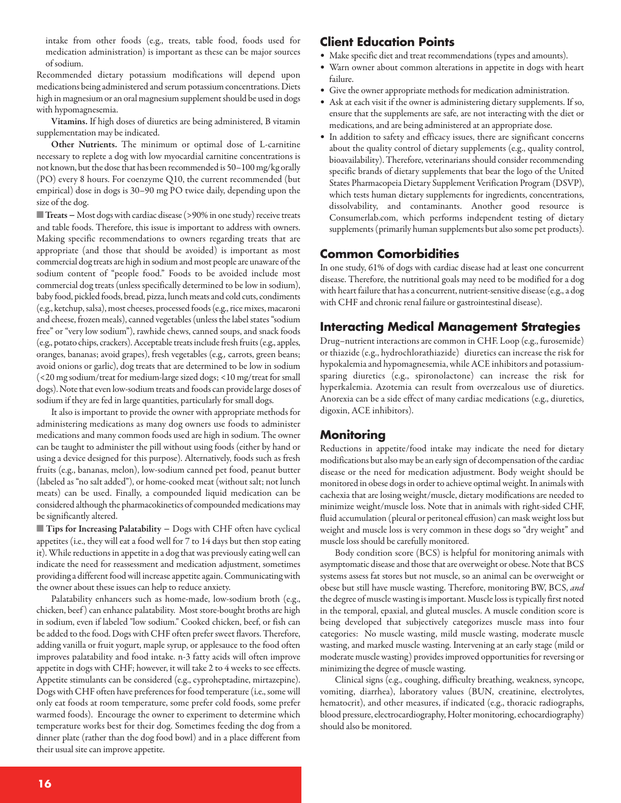intake from other foods (e.g., treats, table food, foods used for medication administration) is important as these can be major sources of sodium.

Recommended dietary potassium modifications will depend upon medications being administered and serum potassium concentrations. Diets high in magnesium or an oral magnesium supplement should be used in dogs with hypomagnesemia.

**Vitamins.** If high doses of diuretics are being administered, B vitamin supplementation may be indicated.

**Other Nutrients.** The minimum or optimal dose of L-carnitine necessary to replete a dog with low myocardial carnitine concentrations is not known, but the dose that has been recommended is 50-100 mg/kg orally (PO) every 8 hours. For coenzyme Q10, the current recommended (but empirical) dose in dogs is 30–90 mg PO twice daily, depending upon the size of the dog.

■ **Treats** − Most dogs with cardiac disease (>90% in one study) receive treats and table foods. Therefore, this issue is important to address with owners. Making specific recommendations to owners regarding treats that are appropriate (and those that should be avoided) is important as most commercial dog treats are high in sodium and most people are unaware of the sodium content of "people food." Foods to be avoided include most commercial dog treats (unless specifically determined to be low in sodium), baby food, pickled foods, bread, pizza, lunch meats and cold cuts, condiments (e.g., ketchup, salsa), most cheeses, processed foods (e.g., rice mixes, macaroni and cheese, frozen meals), canned vegetables (unless the label states "sodium free" or "very low sodium"), rawhide chews, canned soups, and snack foods (e.g., potato chips, crackers). Acceptable treats include fresh fruits (e.g., apples, oranges, bananas; avoid grapes), fresh vegetables (e.g*.,* carrots, green beans; avoid onions or garlic), dog treats that are determined to be low in sodium (<20 mg sodium/treat for medium-largesized dogs; <10 mg/treat forsmall dogs). Note that even low-sodium treats and foods can provide large doses of sodium if they are fed in large quantities, particularly for small dogs.

It also is important to provide the owner with appropriate methods for administering medications as many dog owners use foods to administer medications and many common foods used are high in sodium. The owner can be taught to administer the pill without using foods (either by hand or using a device designed for this purpose). Alternatively, foods such as fresh fruits (e.g., bananas, melon), low-sodium canned pet food, peanut butter (labeled as "no salt added"), or home-cooked meat (without salt; not lunch meats) can be used. Finally, a compounded liquid medication can be considered although the pharmacokinetics of compounded medications may be significantly altered.

■ **Tips for Increasing Palatability** – Dogs with CHF often have cyclical appetites (i.e., they will eat a food well for 7 to 14 days but then stop eating it). While reductions in appetite in a dog that was previously eating well can indicate the need for reassessment and medication adjustment, sometimes providing a different food will increase appetite again. Communicating with the owner about these issues can help to reduce anxiety.

Palatability enhancers such as home-made, low-sodium broth (e.g., chicken, beef) can enhance palatability. Most store-bought broths are high in sodium, even if labeled "low sodium." Cooked chicken, beef, or fish can be added to the food. Dogs with CHF often prefer sweet flavors. Therefore, adding vanilla or fruit yogurt, maple syrup, or applesauce to the food often improves palatability and food intake. n-3 fatty acids will often improve appetite in dogs with CHF; however, it will take 2 to 4 weeks to see effects. Appetite stimulants can be considered (e.g., cyproheptadine, mirtazepine). Dogs with CHF often have preferences for food temperature (i.e., some will only eat foods at room temperature, some prefer cold foods, some prefer warmed foods). Encourage the owner to experiment to determine which temperature works best for their dog. Sometimes feeding the dog from a dinner plate (rather than the dog food bowl) and in a place different from their usual site can improve appetite.

### **Client Education Points**

- Make specific diet and treat recommendations (types and amounts).
- Warn owner about common alterations in appetite in dogs with heart failure.
- Give the owner appropriate methods for medication administration.
- Ask at each visit if the owner is administering dietary supplements. If so, ensure that the supplements are safe, are not interacting with the diet or medications, and are being administered at an appropriate dose.
- In addition to safety and efficacy issues, there are significant concerns about the quality control of dietary supplements (e.g., quality control, bioavailability). Therefore, veterinarians should consider recommending specific brands of dietary supplements that bear the logo of the United States Pharmacopeia Dietary Supplement Verification Program (DSVP), which tests human dietary supplements for ingredients, concentrations, dissolvability, and contaminants. Another good resource is Consumerlab.com, which performs independent testing of dietary supplements (primarily human supplements but also some pet products).

### **Common Comorbidities**

In one study, 61% of dogs with cardiac disease had at least one concurrent disease. Therefore, the nutritional goals may need to be modified for a dog with heart failure that has a concurrent, nutrient-sensitive disease (e.g., a dog with CHF and chronic renal failure or gastrointestinal disease).

### **Interacting Medical Management Strategies**

Drug–nutrient interactions are common in CHF. Loop (e.g., furosemide) or thiazide (e.g., hydrochlorathiazide) diuretics can increase the risk for hypokalemia and hypomagnesemia, while ACE inhibitors and potassiumsparing diuretics (e.g., spironolactone) can increase the risk for hyperkalemia. Azotemia can result from overzealous use of diuretics. Anorexia can be a side effect of many cardiac medications (e.g., diuretics, digoxin, ACE inhibitors).

## **Monitoring**

Reductions in appetite/food intake may indicate the need for dietary modifications but also may be an early sign of decompensation of the cardiac disease or the need for medication adjustment. Body weight should be monitored in obese dogs in order to achieve optimal weight. In animals with cachexia that are losing weight/muscle, dietary modifications are needed to minimize weight/muscle loss. Note that in animals with right-sided CHF, fluid accumulation (pleural or peritoneal effusion) can mask weight loss but weight and muscle loss is very common in these dogs so "dry weight" and muscle loss should be carefully monitored.

Body condition score (BCS) is helpful for monitoring animals with asymptomatic disease and those that are overweight or obese. Note that BCS systems assess fat stores but not muscle, so an animal can be overweight or obese but still have muscle wasting. Therefore, monitoring BW, BCS, *and* the degree of muscle wasting is important. Muscle loss is typically first noted in the temporal, epaxial, and gluteal muscles. A muscle condition score is being developed that subjectively categorizes muscle mass into four categories: No muscle wasting, mild muscle wasting, moderate muscle wasting, and marked muscle wasting. Intervening at an early stage (mild or moderate muscle wasting) provides improved opportunities for reversing or minimizing the degree of muscle wasting.

Clinical signs (e.g., coughing, difficulty breathing, weakness, syncope, vomiting, diarrhea), laboratory values (BUN, creatinine, electrolytes, hematocrit), and other measures, if indicated (e.g., thoracic radiographs, blood pressure, electrocardiography, Holter monitoring, echocardiography) should also be monitored.